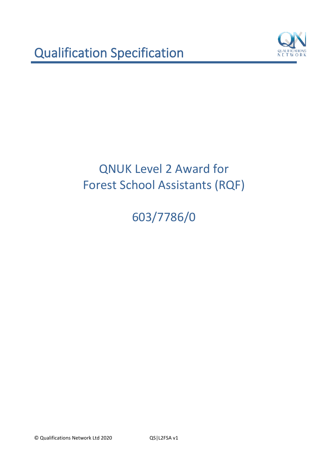

603/7786/0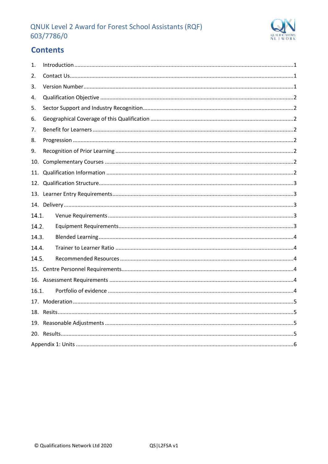

# **Contents**

| 1.    |  |  |  |  |
|-------|--|--|--|--|
| 2.    |  |  |  |  |
| 3.    |  |  |  |  |
| 4.    |  |  |  |  |
| 5.    |  |  |  |  |
| 6.    |  |  |  |  |
| 7.    |  |  |  |  |
| 8.    |  |  |  |  |
| 9.    |  |  |  |  |
| 10.   |  |  |  |  |
| 11.   |  |  |  |  |
| 12.   |  |  |  |  |
|       |  |  |  |  |
|       |  |  |  |  |
| 14.1. |  |  |  |  |
| 14.2. |  |  |  |  |
| 14.3. |  |  |  |  |
| 14.4. |  |  |  |  |
| 14.5. |  |  |  |  |
|       |  |  |  |  |
|       |  |  |  |  |
| 16.1. |  |  |  |  |
|       |  |  |  |  |
|       |  |  |  |  |
| 19.   |  |  |  |  |
|       |  |  |  |  |
|       |  |  |  |  |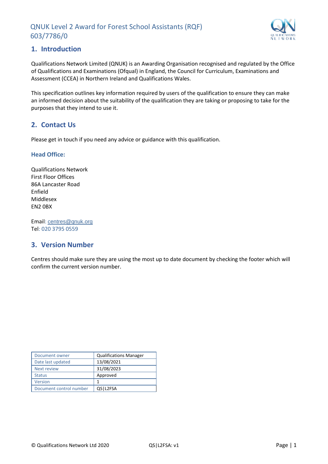

## <span id="page-2-0"></span>**1. Introduction**

Qualifications Network Limited (QNUK) is an Awarding Organisation recognised and regulated by the Office of Qualifications and Examinations (Ofqual) in England, the Council for Curriculum, Examinations and Assessment (CCEA) in Northern Ireland and Qualifications Wales.

This specification outlines key information required by users of the qualification to ensure they can make an informed decision about the suitability of the qualification they are taking or proposing to take for the purposes that they intend to use it.

# <span id="page-2-1"></span>**2. Contact Us**

Please get in touch if you need any advice or guidance with this qualification.

#### **Head Office:**

Qualifications Network First Floor Offices 86A Lancaster Road Enfield Middlesex EN2 0BX

Email: [centres@qnuk.org](mailto:CentreSupport@Qualifications-Network.co.uk) Tel: 020 3795 0559

## <span id="page-2-2"></span>**3. Version Number**

Centres should make sure they are using the most up to date document by checking the footer which will confirm the current version number.

| Document owner          | <b>Qualifications Manager</b> |
|-------------------------|-------------------------------|
| Date last updated       | 13/08/2021                    |
| <b>Next review</b>      | 31/08/2023                    |
| <b>Status</b>           | Approved                      |
| Version                 | 1                             |
| Document control number | QSIL2FSA                      |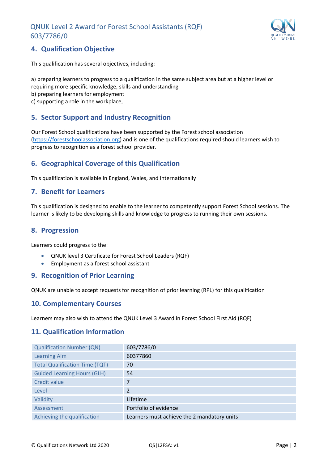

# <span id="page-3-0"></span>**4. Qualification Objective**

This qualification has several objectives, including:

a) preparing learners to progress to a qualification in the same subject area but at a higher level or requiring more specific knowledge, skills and understanding b) preparing learners for employment c) supporting a role in the workplace,

## <span id="page-3-1"></span>**5. Sector Support and Industry Recognition**

Our Forest School qualifications have been supported by the Forest school association [\(https://forestschoolassociation.org\)](https://forestschoolassociation.org/) and is one of the qualifications required should learners wish to progress to recognition as a forest school provider.

# <span id="page-3-2"></span>**6. Geographical Coverage of this Qualification**

This qualification is available in England, Wales, and Internationally

#### <span id="page-3-3"></span>**7. Benefit for Learners**

This qualification is designed to enable to the learner to competently support Forest School sessions. The learner is likely to be developing skills and knowledge to progress to running their own sessions.

#### <span id="page-3-4"></span>**8. Progression**

Learners could progress to the:

- QNUK level 3 Certificate for Forest School Leaders (RQF)
- Employment as a forest school assistant

#### <span id="page-3-5"></span>**9. Recognition of Prior Learning**

QNUK are unable to accept requests for recognition of prior learning (RPL) for this qualification

#### <span id="page-3-6"></span>**10. Complementary Courses**

Learners may also wish to attend the QNUK Level 3 Award in Forest School First Aid (RQF)

#### <span id="page-3-7"></span>**11. Qualification Information**

| <b>Qualification Number (QN)</b>      | 603/7786/0                                  |
|---------------------------------------|---------------------------------------------|
| <b>Learning Aim</b>                   | 60377860                                    |
| <b>Total Qualification Time (TQT)</b> | 70                                          |
| <b>Guided Learning Hours (GLH)</b>    | 54                                          |
| Credit value                          |                                             |
| Level                                 | 2                                           |
| Validity                              | Lifetime                                    |
| Assessment                            | Portfolio of evidence                       |
| Achieving the qualification           | Learners must achieve the 2 mandatory units |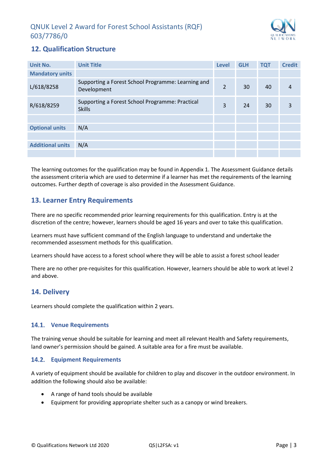

# <span id="page-4-0"></span>**12. Qualification Structure**

| Unit No.                | <b>Unit Title</b>                                                 | Level          | <b>GLH</b> | <b>TQT</b> | <b>Credit</b> |
|-------------------------|-------------------------------------------------------------------|----------------|------------|------------|---------------|
| <b>Mandatory units</b>  |                                                                   |                |            |            |               |
| L/618/8258              | Supporting a Forest School Programme: Learning and<br>Development | $\overline{2}$ | 30         | 40         | 4             |
| R/618/8259              | Supporting a Forest School Programme: Practical<br><b>Skills</b>  |                | 24         | 30         | 3             |
|                         |                                                                   |                |            |            |               |
| <b>Optional units</b>   | N/A                                                               |                |            |            |               |
|                         |                                                                   |                |            |            |               |
| <b>Additional units</b> | N/A                                                               |                |            |            |               |
|                         |                                                                   |                |            |            |               |

The learning outcomes for the qualification may be found in Appendix 1. The Assessment Guidance details the assessment criteria which are used to determine if a learner has met the requirements of the learning outcomes. Further depth of coverage is also provided in the Assessment Guidance.

# <span id="page-4-1"></span>**13. Learner Entry Requirements**

There are no specific recommended prior learning requirements for this qualification. Entry is at the discretion of the centre; however, learners should be aged 16 years and over to take this qualification.

Learners must have sufficient command of the English language to understand and undertake the recommended assessment methods for this qualification.

Learners should have access to a forest school where they will be able to assist a forest school leader

There are no other pre-requisites for this qualification. However, learners should be able to work at level 2 and above.

## <span id="page-4-2"></span>**14. Delivery**

Learners should complete the qualification within 2 years.

#### <span id="page-4-3"></span>14.1. Venue Requirements

The training venue should be suitable for learning and meet all relevant Health and Safety requirements, land owner's permission should be gained. A suitable area for a fire must be available.

#### <span id="page-4-4"></span>**Equipment Requirements**

A variety of equipment should be available for children to play and discover in the outdoor environment. In addition the following should also be available:

- A range of hand tools should be available
- Equipment for providing appropriate shelter such as a canopy or wind breakers.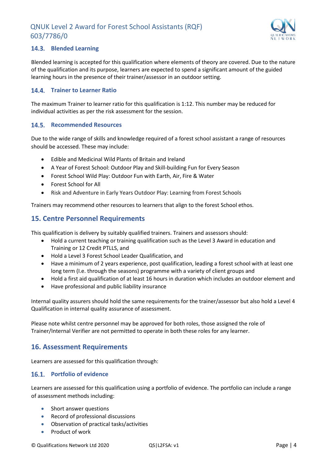

#### <span id="page-5-0"></span>**Blended Learning**

Blended learning is accepted for this qualification where elements of theory are covered. Due to the nature of the qualification and its purpose, learners are expected to spend a significant amount of the guided learning hours in the presence of their trainer/assessor in an outdoor setting.

#### <span id="page-5-1"></span>**Trainer to Learner Ratio**

The maximum Trainer to learner ratio for this qualification is 1:12. This number may be reduced for individual activities as per the risk assessment for the session.

#### <span id="page-5-2"></span>14.5. Recommended Resources

Due to the wide range of skills and knowledge required of a forest school assistant a range of resources should be accessed. These may include:

- Edible and Medicinal Wild Plants of Britain and Ireland
- A Year of Forest School: Outdoor Play and Skill-building Fun for Every Season
- Forest School Wild Play: Outdoor Fun with Earth, Air, Fire & Water
- Forest School for All
- Risk and Adventure in Early Years Outdoor Play: Learning from Forest Schools

Trainers may recommend other resources to learners that align to the forest School ethos.

### <span id="page-5-3"></span>**15. Centre Personnel Requirements**

This qualification is delivery by suitably qualified trainers. Trainers and assessors should:

- Hold a current teaching or training qualification such as the Level 3 Award in education and Training or 12 Credit PTLLS, and
- Hold a Level 3 Forest School Leader Qualification, and
- Have a minimum of 2 years experience, post qualification, leading a forest school with at least one long term (I.e. through the seasons) programme with a variety of client groups and
- Hold a first aid qualification of at least 16 hours in duration which includes an outdoor element and
- Have professional and public liability insurance

Internal quality assurers should hold the same requirements for the trainer/assessor but also hold a Level 4 Qualification in internal quality assurance of assessment.

Please note whilst centre personnel may be approved for both roles, those assigned the role of Trainer/Internal Verifier are not permitted to operate in both these roles for any learner.

#### <span id="page-5-4"></span>**16. Assessment Requirements**

Learners are assessed for this qualification through:

#### <span id="page-5-5"></span>16.1. Portfolio of evidence

Learners are assessed for this qualification using a portfolio of evidence. The portfolio can include a range of assessment methods including:

- Short answer questions
- Record of professional discussions
- Observation of practical tasks/activities
- Product of work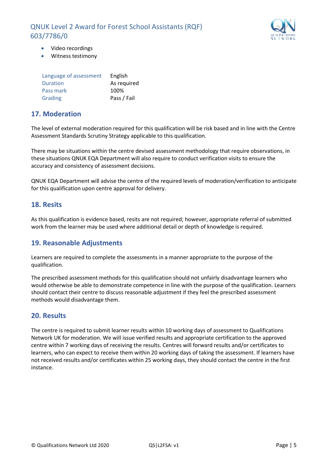

- Video recordings
- Witness testimony

| Language of assessment | English     |
|------------------------|-------------|
| Duration               | As required |
| Pass mark              | 100%        |
| Grading                | Pass / Fail |

### <span id="page-6-0"></span>**17. Moderation**

The level of external moderation required for this qualification will be risk based and in line with the Centre Assessment Standards Scrutiny Strategy applicable to this qualification.

There may be situations within the centre devised assessment methodology that require observations, in these situations QNUK EQA Department will also require to conduct verification visits to ensure the accuracy and consistency of assessment decisions.

QNUK EQA Department will advise the centre of the required levels of moderation/verification to anticipate for this qualification upon centre approval for delivery.

#### <span id="page-6-1"></span>**18. Resits**

As this qualification is evidence based, resits are not required; however, appropriate referral of submitted work from the learner may be used where additional detail or depth of knowledge is required.

## <span id="page-6-2"></span>**19. Reasonable Adjustments**

Learners are required to complete the assessments in a manner appropriate to the purpose of the qualification.

The prescribed assessment methods for this qualification should not unfairly disadvantage learners who would otherwise be able to demonstrate competence in line with the purpose of the qualification. Learners should contact their centre to discuss reasonable adjustment if they feel the prescribed assessment methods would disadvantage them.

#### <span id="page-6-3"></span>**20. Results**

The centre is required to submit learner results within 10 working days of assessment to Qualifications Network UK for moderation. We will issue verified results and appropriate certification to the approved centre within 7 working days of receiving the results. Centres will forward results and/or certificates to learners, who can expect to receive them within 20 working days of taking the assessment. If learners have not received results and/or certificates within 25 working days, they should contact the centre in the first instance.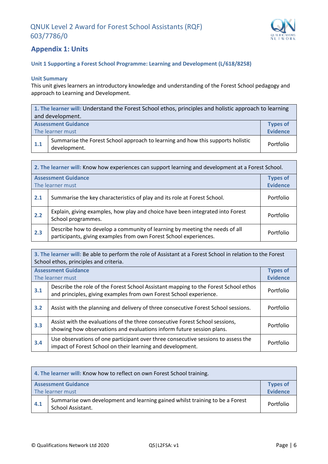

## <span id="page-7-0"></span>**Appendix 1: Units**

#### **Unit 1 Supporting a Forest School Programme: Learning and Development (L/618/8258)**

#### **Unit Summary**

This unit gives learners an introductory knowledge and understanding of the Forest School pedagogy and approach to Learning and Development.

| 1. The learner will: Understand the Forest School ethos, principles and holistic approach to learning |                                                                                                 |                 |  |
|-------------------------------------------------------------------------------------------------------|-------------------------------------------------------------------------------------------------|-----------------|--|
| and development.                                                                                      |                                                                                                 |                 |  |
|                                                                                                       | <b>Assessment Guidance</b>                                                                      | <b>Types of</b> |  |
|                                                                                                       | <b>Evidence</b><br>The learner must                                                             |                 |  |
| 1.1                                                                                                   | Summarise the Forest School approach to learning and how this supports holistic<br>development. | Portfolio       |  |

| 2. The learner will: Know how experiences can support learning and development at a Forest School. |                                                                                                                                                  |                                    |  |
|----------------------------------------------------------------------------------------------------|--------------------------------------------------------------------------------------------------------------------------------------------------|------------------------------------|--|
|                                                                                                    | <b>Assessment Guidance</b><br>The learner must                                                                                                   | <b>Types of</b><br><b>Evidence</b> |  |
| 2.1                                                                                                | Summarise the key characteristics of play and its role at Forest School.                                                                         | Portfolio                          |  |
| 2.2                                                                                                | Explain, giving examples, how play and choice have been integrated into Forest<br>School programmes.                                             | Portfolio                          |  |
| 2.3                                                                                                | Describe how to develop a community of learning by meeting the needs of all<br>participants, giving examples from own Forest School experiences. | Portfolio                          |  |

**3. The learner will:** Be able to perform the role of Assistant at a Forest School in relation to the Forest School ethos, principles and criteria. **Assessment Guidance** The learner must **Types of Evidence 3.1** Describe the role of the Forest School Assistant mapping to the Forest School ethos and principles, giving examples from own Forest School experience. Portfolio **3.2** Assist with the planning and delivery of three consecutive Forest School sessions. Portfolio **3.3** Assist with the evaluations of the three consecutive Forest School sessions, showing how observations and evaluations inform future session plans. **3.4** Use observations of one participant over three consecutive sessions to assess the impact of Forest School on their learning and development.

| 4. The learner will: Know how to reflect on own Forest School training. |                                                                                                   |                                    |  |
|-------------------------------------------------------------------------|---------------------------------------------------------------------------------------------------|------------------------------------|--|
|                                                                         | <b>Assessment Guidance</b><br>The learner must                                                    | <b>Types of</b><br><b>Evidence</b> |  |
| 4.1                                                                     | Summarise own development and learning gained whilst training to be a Forest<br>School Assistant. | Portfolio                          |  |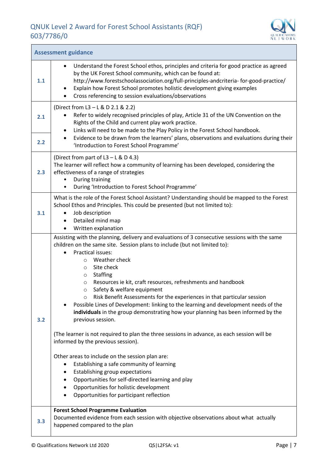$\overline{1}$ 



| <b>Assessment guidance</b> |                                                                                                                                                                                                                                                                                                                                                                                                                                                                                                                                                                                                                                                                                                                                                                                                           |  |  |  |
|----------------------------|-----------------------------------------------------------------------------------------------------------------------------------------------------------------------------------------------------------------------------------------------------------------------------------------------------------------------------------------------------------------------------------------------------------------------------------------------------------------------------------------------------------------------------------------------------------------------------------------------------------------------------------------------------------------------------------------------------------------------------------------------------------------------------------------------------------|--|--|--|
| 1.1                        | Understand the Forest School ethos, principles and criteria for good practice as agreed<br>$\bullet$<br>by the UK Forest School community, which can be found at:<br>http://www.forestschoolassociation.org/full-principles-andcriteria-for-good-practice/<br>Explain how Forest School promotes holistic development giving examples<br>$\bullet$<br>Cross referencing to session evaluations/observations                                                                                                                                                                                                                                                                                                                                                                                               |  |  |  |
| 2.1                        | (Direct from L3 - L & D 2.1 & 2.2)<br>Refer to widely recognised principles of play, Article 31 of the UN Convention on the<br>Rights of the Child and current play work practice.<br>Links will need to be made to the Play Policy in the Forest School handbook.<br>$\bullet$<br>Evidence to be drawn from the learners' plans, observations and evaluations during their                                                                                                                                                                                                                                                                                                                                                                                                                               |  |  |  |
| 2.2                        | 'Introduction to Forest School Programme'                                                                                                                                                                                                                                                                                                                                                                                                                                                                                                                                                                                                                                                                                                                                                                 |  |  |  |
| 2.3                        | (Direct from part of L3 - L & D 4.3)<br>The learner will reflect how a community of learning has been developed, considering the<br>effectiveness of a range of strategies<br>During training<br>During 'Introduction to Forest School Programme'<br>٠                                                                                                                                                                                                                                                                                                                                                                                                                                                                                                                                                    |  |  |  |
| 3.1                        | What is the role of the Forest School Assistant? Understanding should be mapped to the Forest<br>School Ethos and Principles. This could be presented (but not limited to):<br>Job description<br>$\bullet$<br>Detailed mind map<br>Written explanation                                                                                                                                                                                                                                                                                                                                                                                                                                                                                                                                                   |  |  |  |
| 3.2                        | Assisting with the planning, delivery and evaluations of 3 consecutive sessions with the same<br>children on the same site. Session plans to include (but not limited to):<br><b>Practical issues:</b><br>Weather check<br>$\circ$<br>Site check<br>$\circ$<br>Staffing<br>$\circ$<br>Resources ie kit, craft resources, refreshments and handbook<br>$\circ$<br>Safety & welfare equipment<br>$\circ$<br>Risk Benefit Assessments for the experiences in that particular session<br>$\circ$<br>Possible Lines of Development: linking to the learning and development needs of the<br>$\bullet$<br>individuals in the group demonstrating how your planning has been informed by the<br>previous session.<br>(The learner is not required to plan the three sessions in advance, as each session will be |  |  |  |
|                            | informed by the previous session).<br>Other areas to include on the session plan are:<br>Establishing a safe community of learning<br>Establishing group expectations<br>Opportunities for self-directed learning and play<br>Opportunities for holistic development<br>Opportunities for participant reflection                                                                                                                                                                                                                                                                                                                                                                                                                                                                                          |  |  |  |
| 3.3                        | <b>Forest School Programme Evaluation</b><br>Documented evidence from each session with objective observations about what actually<br>happened compared to the plan                                                                                                                                                                                                                                                                                                                                                                                                                                                                                                                                                                                                                                       |  |  |  |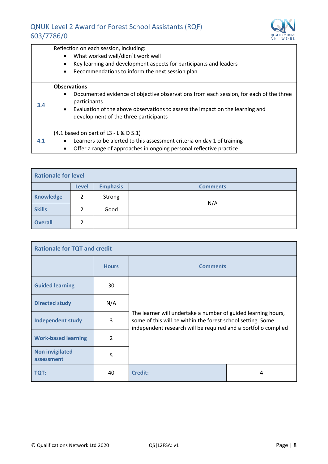

|     | Reflection on each session, including:<br>What worked well/didn't work well<br>$\bullet$<br>Key learning and development aspects for participants and leaders<br>$\bullet$<br>Recommendations to inform the next session plan<br>$\bullet$                             |
|-----|------------------------------------------------------------------------------------------------------------------------------------------------------------------------------------------------------------------------------------------------------------------------|
| 3.4 | <b>Observations</b><br>Documented evidence of objective observations from each session, for each of the three<br>$\bullet$<br>participants<br>• Evaluation of the above observations to assess the impact on the learning and<br>development of the three participants |
| 4.1 | (4.1 based on part of L3 - L & D 5.1)<br>Learners to be alerted to this assessment criteria on day 1 of training<br>$\bullet$<br>Offer a range of approaches in ongoing personal reflective practice<br>$\bullet$                                                      |

| <b>Rationale for level</b> |              |                 |                 |  |  |
|----------------------------|--------------|-----------------|-----------------|--|--|
|                            | <b>Level</b> | <b>Emphasis</b> | <b>Comments</b> |  |  |
| <b>Knowledge</b>           | 2            | Strong          | N/A             |  |  |
| <b>Skills</b>              | 2            | Good            |                 |  |  |
| <b>Overall</b>             |              |                 |                 |  |  |

| <b>Rationale for TQT and credit</b>  |              |                                                                                                                                                                                                |   |  |
|--------------------------------------|--------------|------------------------------------------------------------------------------------------------------------------------------------------------------------------------------------------------|---|--|
|                                      | <b>Hours</b> | <b>Comments</b>                                                                                                                                                                                |   |  |
| <b>Guided learning</b>               | 30           |                                                                                                                                                                                                |   |  |
| <b>Directed study</b>                | N/A          |                                                                                                                                                                                                |   |  |
| <b>Independent study</b>             | 3            | The learner will undertake a number of guided learning hours,<br>some of this will be within the forest school setting. Some<br>independent research will be required and a portfolio complied |   |  |
| <b>Work-based learning</b>           | 2            |                                                                                                                                                                                                |   |  |
| <b>Non invigilated</b><br>assessment | 5            |                                                                                                                                                                                                |   |  |
| <b>TQT:</b>                          | 40           | <b>Credit:</b>                                                                                                                                                                                 | 4 |  |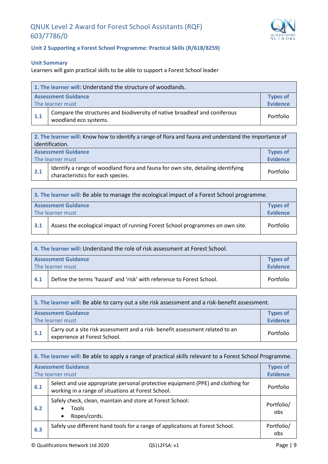

#### **Unit 2 Supporting a Forest School Programme: Practical Skills (R/618/8259)**

#### **Unit Summary**

Learners will gain practical skills to be able to support a Forest School leader

| 1. The learner will: Understand the structure of woodlands.      |                                                                                                     |           |  |
|------------------------------------------------------------------|-----------------------------------------------------------------------------------------------------|-----------|--|
| <b>Assessment Guidance</b><br><b>Types of</b><br><b>Evidence</b> |                                                                                                     |           |  |
| The learner must                                                 |                                                                                                     |           |  |
| 1.1                                                              | Compare the structures and biodiversity of native broadleaf and coniferous<br>woodland eco systems. | Portfolio |  |

|                  | 2. The learner will: Know how to identify a range of flora and fauna and understand the importance of                 |           |  |  |
|------------------|-----------------------------------------------------------------------------------------------------------------------|-----------|--|--|
| identification.  |                                                                                                                       |           |  |  |
|                  | <b>Assessment Guidance</b><br><b>Types of</b><br><b>Evidence</b>                                                      |           |  |  |
| The learner must |                                                                                                                       |           |  |  |
| 2.1              | Identify a range of woodland flora and fauna for own site, detailing identifying<br>characteristics for each species. | Portfolio |  |  |

| 3. The learner will: Be able to manage the ecological impact of a Forest School programme. |                                                                                |  |  |
|--------------------------------------------------------------------------------------------|--------------------------------------------------------------------------------|--|--|
|                                                                                            | <b>Assessment Guidance</b><br><b>Types of<br/>Evidence</b><br>The learner must |  |  |
| Assess the ecological impact of running Forest School programmes on own site.<br>3.1       |                                                                                |  |  |

| 4. The learner will: Understand the role of risk assessment at Forest School. |                                                                       |           |  |  |
|-------------------------------------------------------------------------------|-----------------------------------------------------------------------|-----------|--|--|
|                                                                               | <b>Assessment Guidance</b><br><b>Types of</b><br>Evidence             |           |  |  |
| The learner must                                                              |                                                                       |           |  |  |
| 4.1                                                                           | Define the terms 'hazard' and 'risk' with reference to Forest School. | Portfolio |  |  |

| 5. The learner will: Be able to carry out a site risk assessment and a risk-benefit assessment. |                                                                                                               |           |  |
|-------------------------------------------------------------------------------------------------|---------------------------------------------------------------------------------------------------------------|-----------|--|
| <b>Assessment Guidance</b><br>The learner must                                                  |                                                                                                               |           |  |
| 5.1                                                                                             | Carry out a site risk assessment and a risk- benefit assessment related to an<br>experience at Forest School. | Portfolio |  |

| 6. The learner will: Be able to apply a range of practical skills relevant to a Forest School Programme. |                                                                                                                                       |                   |  |  |  |
|----------------------------------------------------------------------------------------------------------|---------------------------------------------------------------------------------------------------------------------------------------|-------------------|--|--|--|
|                                                                                                          | <b>Assessment Guidance</b><br><b>Types of</b><br><b>Evidence</b><br>The learner must                                                  |                   |  |  |  |
| 6.1                                                                                                      | Select and use appropriate personal protective equipment (PPE) and clothing for<br>working in a range of situations at Forest School. |                   |  |  |  |
| 6.2                                                                                                      | Safely check, clean, maintain and store at Forest School:<br><b>Tools</b><br>Ropes/cords.<br>$\bullet$                                |                   |  |  |  |
| 6.3                                                                                                      | Safely use different hand tools for a range of applications at Forest School.                                                         | Portfolio/<br>obs |  |  |  |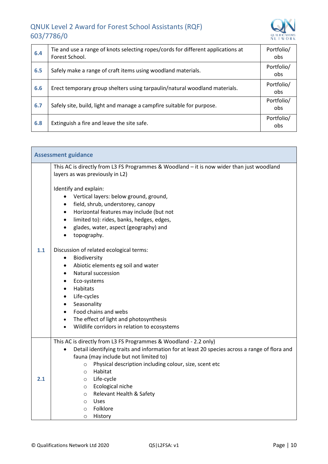

h

| 6.4 | Tie and use a range of knots selecting ropes/cords for different applications at<br>Forest School. | Portfolio/<br>obs. |
|-----|----------------------------------------------------------------------------------------------------|--------------------|
| 6.5 | Safely make a range of craft items using woodland materials.                                       | Portfolio/<br>obs. |
| 6.6 | Erect temporary group shelters using tarpaulin/natural woodland materials.                         | Portfolio/<br>obs. |
| 6.7 | Safely site, build, light and manage a campfire suitable for purpose.                              | Portfolio/<br>obs. |
| 6.8 | Extinguish a fire and leave the site safe.                                                         | Portfolio/<br>obs  |

|     | <b>Assessment guidance</b>                                                                                                                                                                                                                                                                                                                                                                                                                                            |  |  |  |  |
|-----|-----------------------------------------------------------------------------------------------------------------------------------------------------------------------------------------------------------------------------------------------------------------------------------------------------------------------------------------------------------------------------------------------------------------------------------------------------------------------|--|--|--|--|
|     | This AC is directly from L3 FS Programmes & Woodland - it is now wider than just woodland<br>layers as was previously in L2)<br>Identify and explain:<br>Vertical layers: below ground, ground,<br>field, shrub, understorey, canopy<br>$\bullet$<br>Horizontal features may include (but not<br>$\bullet$<br>limited to): rides, banks, hedges, edges,<br>$\bullet$<br>glades, water, aspect (geography) and<br>$\bullet$<br>topography.<br>$\bullet$                |  |  |  |  |
| 1.1 | Discussion of related ecological terms:<br>Biodiversity<br>$\bullet$<br>Abiotic elements eg soil and water<br>$\bullet$<br>Natural succession<br>$\bullet$<br>Eco-systems<br>$\bullet$<br>Habitats<br>$\bullet$<br>Life-cycles<br>$\bullet$<br>Seasonality<br>$\bullet$<br>Food chains and webs<br>$\bullet$<br>The effect of light and photosynthesis<br>$\bullet$<br>Wildlife corridors in relation to ecosystems                                                   |  |  |  |  |
| 2.1 | This AC is directly from L3 FS Programmes & Woodland - 2.2 only)<br>Detail identifying traits and information for at least 20 species across a range of flora and<br>fauna (may include but not limited to)<br>Physical description including colour, size, scent etc<br>$\circ$<br>Habitat<br>$\circ$<br>Life-cycle<br>$\circ$<br>Ecological niche<br>$\circ$<br>Relevant Health & Safety<br>$\circ$<br>Uses<br>$\circ$<br>Folklore<br>$\circ$<br>History<br>$\circ$ |  |  |  |  |

**T**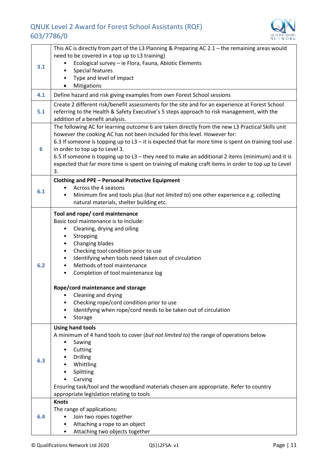

| This AC is directly from part of the L3 Planning & Preparing AC 2.1 - the remaining areas would |                                                                                                                                          |  |  |  |  |
|-------------------------------------------------------------------------------------------------|------------------------------------------------------------------------------------------------------------------------------------------|--|--|--|--|
|                                                                                                 | need to be covered in a top up to L3 training)                                                                                           |  |  |  |  |
| 3.1                                                                                             | Ecological survey - ie Flora, Fauna, Abiotic Elements                                                                                    |  |  |  |  |
|                                                                                                 | Special features                                                                                                                         |  |  |  |  |
|                                                                                                 | Type and level of impact                                                                                                                 |  |  |  |  |
|                                                                                                 | Mitigations<br>٠                                                                                                                         |  |  |  |  |
| 4.1                                                                                             | Define hazard and risk giving examples from own Forest School sessions                                                                   |  |  |  |  |
|                                                                                                 | Create 2 different risk/benefit assessments for the site and for an experience at Forest School                                          |  |  |  |  |
| 5.1                                                                                             | referring to the Health & Safety Executive's 5 steps approach to risk management, with the                                               |  |  |  |  |
|                                                                                                 | addition of a benefit analysis.                                                                                                          |  |  |  |  |
|                                                                                                 | The following AC for learning outcome 6 are taken directly from the new L3 Practical Skills unit                                         |  |  |  |  |
|                                                                                                 | however the cooking AC has not been included for this level. However for:                                                                |  |  |  |  |
| 6                                                                                               | 6.3 If someone is topping up to $L3 - it$ is expected that far more time is spent on training tool use<br>in order to top up to Level 3. |  |  |  |  |
|                                                                                                 | 6.5 If someone is topping up to L3 - they need to make an additional 2 items (minimum) and it is                                         |  |  |  |  |
|                                                                                                 | expected that far more time is spent on training of making craft items in order to top up to Level                                       |  |  |  |  |
|                                                                                                 | 3.                                                                                                                                       |  |  |  |  |
|                                                                                                 | <b>Clothing and PPE - Personal Protective Equipment</b>                                                                                  |  |  |  |  |
|                                                                                                 | Across the 4 seasons                                                                                                                     |  |  |  |  |
| 6.1                                                                                             | Minimum fire and tools plus (but not limited to) one other experience e.g. collecting<br>$\bullet$                                       |  |  |  |  |
|                                                                                                 | natural materials, shelter building etc.                                                                                                 |  |  |  |  |
|                                                                                                 | Tool and rope/ cord maintenance                                                                                                          |  |  |  |  |
|                                                                                                 | Basic tool maintenance is to include:                                                                                                    |  |  |  |  |
|                                                                                                 | Cleaning, drying and oiling<br>$\bullet$                                                                                                 |  |  |  |  |
|                                                                                                 | Stropping<br>٠                                                                                                                           |  |  |  |  |
|                                                                                                 | Changing blades<br>٠                                                                                                                     |  |  |  |  |
|                                                                                                 | Checking tool condition prior to use<br>$\bullet$                                                                                        |  |  |  |  |
|                                                                                                 | Identifying when tools need taken out of circulation<br>$\bullet$                                                                        |  |  |  |  |
| 6.2                                                                                             | Methods of tool maintenance<br>Completion of tool maintenance log                                                                        |  |  |  |  |
|                                                                                                 |                                                                                                                                          |  |  |  |  |
|                                                                                                 | Rope/cord maintenance and storage                                                                                                        |  |  |  |  |
|                                                                                                 | Cleaning and drying                                                                                                                      |  |  |  |  |
|                                                                                                 | Checking rope/cord condition prior to use                                                                                                |  |  |  |  |
|                                                                                                 | Identifying when rope/cord needs to be taken out of circulation                                                                          |  |  |  |  |
|                                                                                                 | Storage                                                                                                                                  |  |  |  |  |
|                                                                                                 | <b>Using hand tools</b>                                                                                                                  |  |  |  |  |
|                                                                                                 | A minimum of 4 hand tools to cover (but not limited to) the range of operations below                                                    |  |  |  |  |
|                                                                                                 | Sawing                                                                                                                                   |  |  |  |  |
|                                                                                                 | Cutting<br>Drilling                                                                                                                      |  |  |  |  |
| 6.3                                                                                             | Whittling                                                                                                                                |  |  |  |  |
|                                                                                                 | Splitting                                                                                                                                |  |  |  |  |
|                                                                                                 | Carving                                                                                                                                  |  |  |  |  |
|                                                                                                 | Ensuring task/tool and the woodland materials chosen are appropriate. Refer to country                                                   |  |  |  |  |
|                                                                                                 | appropriate legislation relating to tools                                                                                                |  |  |  |  |
|                                                                                                 | <b>Knots</b>                                                                                                                             |  |  |  |  |
|                                                                                                 | The range of applications:                                                                                                               |  |  |  |  |
| 6.4                                                                                             | Join two ropes together<br>٠<br>Attaching a rope to an object                                                                            |  |  |  |  |
|                                                                                                 | Attaching two objects together                                                                                                           |  |  |  |  |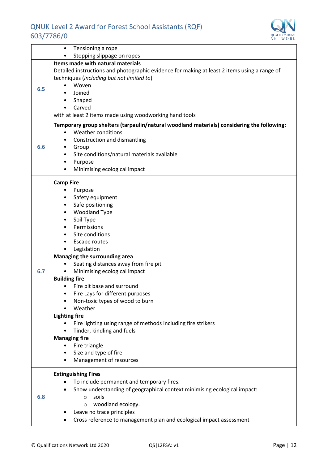

|     | Tensioning a rope                                                                            |  |  |  |  |
|-----|----------------------------------------------------------------------------------------------|--|--|--|--|
|     | Stopping slippage on ropes                                                                   |  |  |  |  |
|     | Items made with natural materials                                                            |  |  |  |  |
|     | Detailed instructions and photographic evidence for making at least 2 items using a range of |  |  |  |  |
|     | techniques (including but not limited to)                                                    |  |  |  |  |
|     | Woven                                                                                        |  |  |  |  |
| 6.5 | Joined                                                                                       |  |  |  |  |
|     | Shaped                                                                                       |  |  |  |  |
|     | Carved                                                                                       |  |  |  |  |
|     | with at least 2 items made using woodworking hand tools                                      |  |  |  |  |
|     | Temporary group shelters (tarpaulin/natural woodland materials) considering the following:   |  |  |  |  |
|     | <b>Weather conditions</b><br>$\bullet$                                                       |  |  |  |  |
|     | Construction and dismantling                                                                 |  |  |  |  |
| 6.6 | Group                                                                                        |  |  |  |  |
|     | Site conditions/natural materials available                                                  |  |  |  |  |
|     | Purpose                                                                                      |  |  |  |  |
|     | Minimising ecological impact                                                                 |  |  |  |  |
|     |                                                                                              |  |  |  |  |
|     | <b>Camp Fire</b>                                                                             |  |  |  |  |
|     | Purpose                                                                                      |  |  |  |  |
|     | Safety equipment<br>٠                                                                        |  |  |  |  |
|     | Safe positioning<br>$\bullet$                                                                |  |  |  |  |
|     | <b>Woodland Type</b><br>$\bullet$                                                            |  |  |  |  |
|     | Soil Type                                                                                    |  |  |  |  |
|     | Permissions                                                                                  |  |  |  |  |
|     | Site conditions                                                                              |  |  |  |  |
|     | Escape routes                                                                                |  |  |  |  |
|     | Legislation                                                                                  |  |  |  |  |
|     | Managing the surrounding area                                                                |  |  |  |  |
|     | Seating distances away from fire pit                                                         |  |  |  |  |
| 6.7 | Minimising ecological impact<br>$\bullet$                                                    |  |  |  |  |
|     | <b>Building fire</b>                                                                         |  |  |  |  |
|     | Fire pit base and surround                                                                   |  |  |  |  |
|     | Fire Lays for different purposes                                                             |  |  |  |  |
|     | Non-toxic types of wood to burn                                                              |  |  |  |  |
|     | Weather                                                                                      |  |  |  |  |
|     | <b>Lighting fire</b>                                                                         |  |  |  |  |
|     | Fire lighting using range of methods including fire strikers                                 |  |  |  |  |
|     | Tinder, kindling and fuels                                                                   |  |  |  |  |
|     | <b>Managing fire</b>                                                                         |  |  |  |  |
|     | Fire triangle                                                                                |  |  |  |  |
|     | Size and type of fire                                                                        |  |  |  |  |
|     | Management of resources                                                                      |  |  |  |  |
|     |                                                                                              |  |  |  |  |
|     | <b>Extinguishing Fires</b>                                                                   |  |  |  |  |
|     | To include permanent and temporary fires.                                                    |  |  |  |  |
|     | Show understanding of geographical context minimising ecological impact:                     |  |  |  |  |
| 6.8 | soils<br>$\circ$                                                                             |  |  |  |  |
|     | woodland ecology.<br>$\circ$                                                                 |  |  |  |  |
|     | Leave no trace principles                                                                    |  |  |  |  |
|     | Cross reference to management plan and ecological impact assessment                          |  |  |  |  |